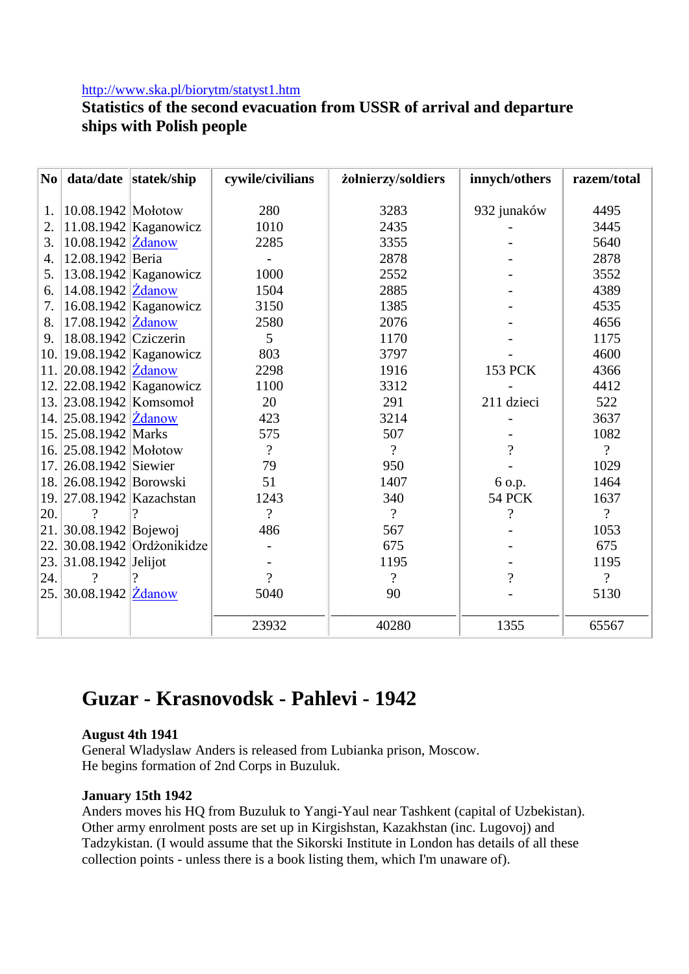### <http://www.ska.pl/biorytm/statyst1.htm>

# **Statistics of the second evacuation from USSR of arrival and departure ships with Polish people**

| N <sub>o</sub> |                                         | data/date statek/ship       | cywile/civilians | żołnierzy/soldiers       | innych/others            | razem/total              |
|----------------|-----------------------------------------|-----------------------------|------------------|--------------------------|--------------------------|--------------------------|
|                |                                         |                             |                  |                          |                          |                          |
| 1.             | 10.08.1942 Mołotow                      |                             | 280              | 3283                     | 932 junaków              | 4495                     |
| 2.             |                                         | 11.08.1942 Kaganowicz       | 1010             | 2435                     |                          | 3445                     |
| 3.             | 10.08.1942 Zdanow                       |                             | 2285             | 3355                     |                          | 5640                     |
| 4.             | 12.08.1942 Beria                        |                             |                  | 2878                     |                          | 2878                     |
| 5.             |                                         | $13.08.1942$ Kaganowicz     | 1000             | 2552                     |                          | 3552                     |
| 6.             | $14.08.1942$ $\overline{\text{Zdanow}}$ |                             | 1504             | 2885                     |                          | 4389                     |
| 7.             |                                         | 16.08.1942 Kaganowicz       | 3150             | 1385                     |                          | 4535                     |
| 8.             | 17.08.1942 Zdanow                       |                             | 2580             | 2076                     |                          | 4656                     |
| 9.             | $18.08.1942$ Cziczerin                  |                             | 5                | 1170                     |                          | 1175                     |
| 10.1           |                                         | 19.08.1942 Kaganowicz       | 803              | 3797                     |                          | 4600                     |
|                | 11. $ 20.08.1942 $ Zdanow               |                             | 2298             | 1916                     | 153 PCK                  | 4366                     |
|                |                                         | 12. 22.08.1942 Kaganowicz   | 1100             | 3312                     |                          | 4412                     |
|                |                                         | 13. 23.08.1942 Komsomoł     | 20               | 291                      | 211 dzieci               | 522                      |
|                | 14. 25.08.1942 Zdanow                   |                             | 423              | 3214                     |                          | 3637                     |
|                | 15. 25.08.1942 Marks                    |                             | 575              | 507                      |                          | 1082                     |
|                | 16. 25.08.1942 Mołotow                  |                             | $\overline{?}$   | $\gamma$                 | $\overline{?}$           | $\overline{?}$           |
|                | 17. 26.08.1942 Siewier                  |                             | 79               | 950                      |                          | 1029                     |
|                | 18. 26.08.1942 Borowski                 |                             | 51               | 1407                     | 6 o.p.                   | 1464                     |
|                |                                         | 19. 27.08.1942 Kazachstan   | 1243             | 340                      | <b>54 PCK</b>            | 1637                     |
| 20.            | $\gamma$                                | ?                           | $\overline{?}$   | $\overline{\mathcal{L}}$ | $\overline{\mathcal{L}}$ | $\overline{?}$           |
|                | 21.30.08.1942 Bojewoj                   |                             | 486              | 567                      |                          | 1053                     |
|                |                                         | 22. 30.08.1942 Ordzonikidze |                  | 675                      |                          | 675                      |
|                | 23. 31.08.1942 Jelijot                  |                             |                  | 1195                     |                          | 1195                     |
| 24.            | $\gamma$                                |                             | $\gamma$         | $\overline{\mathcal{L}}$ | $\overline{\mathcal{L}}$ | $\overline{\mathcal{L}}$ |
|                | 25. 30.08.1942 Zdanow                   |                             | 5040             | 90                       |                          | 5130                     |
|                |                                         |                             | 23932            | 40280                    | 1355                     | 65567                    |

# **Guzar - Krasnovodsk - Pahlevi - 1942**

#### **August 4th 1941**

General Wladyslaw Anders is released from Lubianka prison, Moscow. He begins formation of 2nd Corps in Buzuluk.

#### **January 15th 1942**

Anders moves his HQ from Buzuluk to Yangi-Yaul near Tashkent (capital of Uzbekistan). Other army enrolment posts are set up in Kirgishstan, Kazakhstan (inc. Lugovoj) and Tadzykistan. (I would assume that the Sikorski Institute in London has details of all these collection points - unless there is a book listing them, which I'm unaware of).